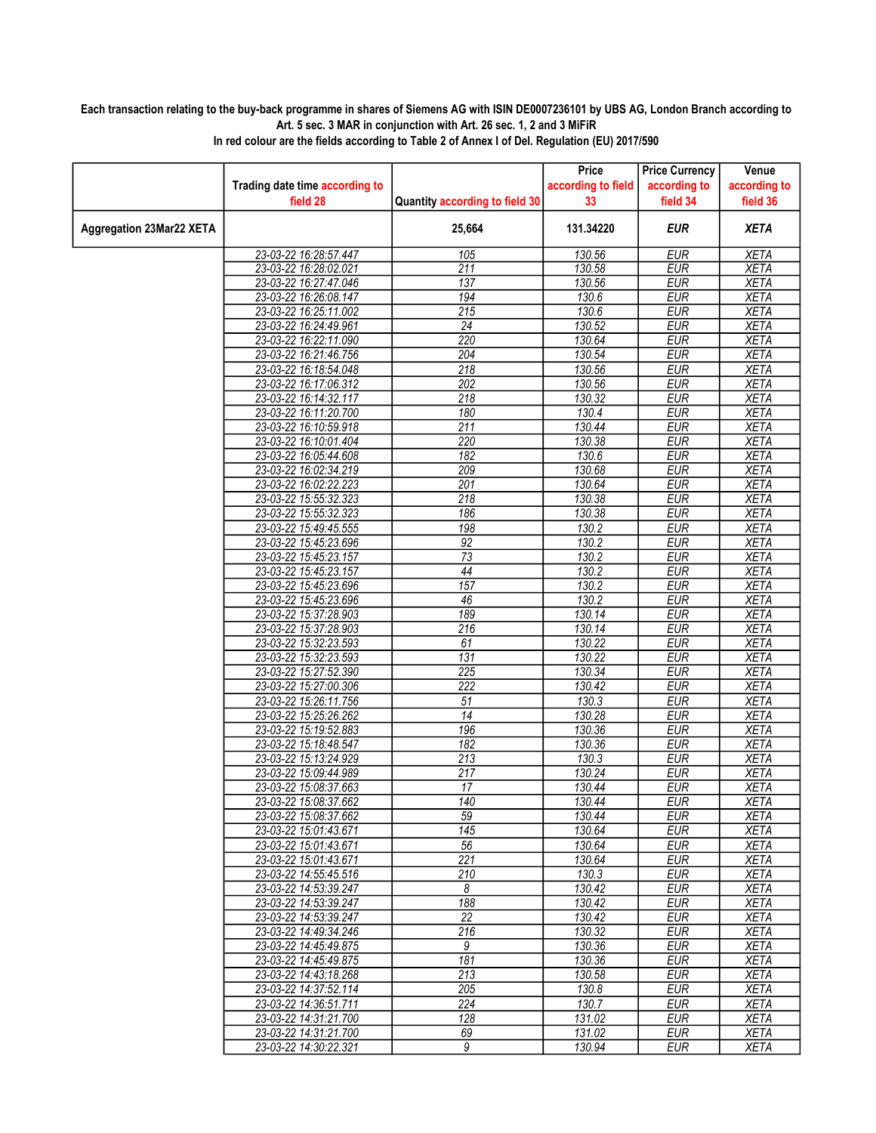## Each transaction relating to the buy-back programme in shares of Siemens AG with ISIN DE0007236101 by UBS AG, London Branch according to Art. 5 sec. 3 MAR in conjunction with Art. 26 sec. 1, 2 and 3 MiFiR

|                                 |                                                |                                | Price              | <b>Price Currency</b>    | Venue                      |
|---------------------------------|------------------------------------------------|--------------------------------|--------------------|--------------------------|----------------------------|
|                                 | Trading date time according to                 |                                | according to field | according to             | according to               |
|                                 | field 28                                       | Quantity according to field 30 | 33                 | field 34                 | field 36                   |
| <b>Aggregation 23Mar22 XETA</b> |                                                | 25,664                         | 131.34220          | <b>EUR</b>               | <b>XETA</b>                |
|                                 | 23-03-22 16:28:57.447                          | 105                            | 130.56             | <b>EUR</b>               | <b>XETA</b>                |
|                                 | 23-03-22 16:28:02.021                          | $\overline{211}$               | 130.58             | <b>EUR</b>               | <b>XETA</b>                |
|                                 | 23-03-22 16:27:47.046                          | 137                            | 130.56             | <b>EUR</b>               | <b>XETA</b>                |
|                                 | 23-03-22 16:26:08.147                          | 194                            | 130.6              | <b>EUR</b>               | <b>XETA</b>                |
|                                 | 23-03-22 16:25:11.002                          | $\overline{215}$               | 130.6              | <b>EUR</b>               | <b>XETA</b>                |
|                                 | 23-03-22 16:24:49.961                          | $\overline{24}$                | 130.52             | <b>EUR</b>               | <b>XETA</b>                |
|                                 | 23-03-22 16:22:11.090                          | 220                            | 130.64             | <b>EUR</b>               | <b>XETA</b>                |
|                                 | 23-03-22 16:21:46.756                          | 204                            | 130.54             | <b>EUR</b>               | <b>XETA</b>                |
|                                 | 23-03-22 16:18:54.048                          | $\overline{218}$               | 130.56             | <b>EUR</b>               | <b>XETA</b>                |
|                                 | 23-03-22 16:17:06.312                          | $\overline{202}$               | 130.56             | <b>EUR</b>               | <b>XETA</b>                |
|                                 | 23-03-22 16:14:32.117                          | $\overline{218}$               | 130.32             | <b>EUR</b>               | <b>XETA</b>                |
|                                 | 23-03-22 16:11:20.700                          | 180                            | 130.4              | <b>EUR</b>               | <b>XETA</b>                |
|                                 | 23-03-22 16:10:59.918                          | 211                            | 130.44             | <b>EUR</b>               | <b>XETA</b>                |
|                                 | 23-03-22 16:10:01.404                          | 220                            | 130.38             | <b>EUR</b>               | <b>XETA</b>                |
|                                 | 23-03-22 16:05:44.608                          | 182                            | 130.6              | <b>EUR</b>               | <b>XETA</b>                |
|                                 | 23-03-22 16:02:34.219                          | 209                            | 130.68             | <b>EUR</b>               | <b>XETA</b>                |
|                                 | 23-03-22 16:02:22.223                          | $\overline{201}$               | 130.64             | <b>EUR</b>               | <b>XETA</b>                |
|                                 | 23-03-22 15:55:32.323                          | $\overline{218}$               | 130.38             | <b>EUR</b>               | <b>XETA</b>                |
|                                 | 23-03-22 15:55:32.323                          | 186                            | 130.38             | <b>EUR</b>               | <b>XETA</b>                |
|                                 | 23-03-22 15:49:45.555                          | 198                            | 130.2              | <b>EUR</b>               | <b>XETA</b>                |
|                                 | 23-03-22 15:45:23.696                          | 92                             | 130.2              | <b>EUR</b>               | <b>XETA</b>                |
|                                 | 23-03-22 15:45:23.157                          | $\overline{73}$                | 130.2              | <b>EUR</b>               | <b>XETA</b>                |
|                                 | 23-03-22 15:45:23.157                          | 44                             | 130.2              | <b>EUR</b>               | <b>XETA</b>                |
|                                 | 23-03-22 15:45:23.696                          | 157                            | 130.2              | <b>EUR</b>               | <b>XETA</b>                |
|                                 | 23-03-22 15:45:23.696                          | 46                             | 130.2              | <b>EUR</b>               | <b>XETA</b>                |
|                                 | 23-03-22 15:37:28.903                          | 189                            | 130.14             | <b>EUR</b>               | <b>XETA</b>                |
|                                 | 23-03-22 15:37:28.903                          | $\overline{216}$               | 130.14             | <b>EUR</b>               | <b>XETA</b>                |
|                                 | 23-03-22 15:32:23.593                          | 61                             | 130.22             | <b>EUR</b>               | <b>XETA</b>                |
|                                 | 23-03-22 15:32:23.593                          | 131                            | 130.22             | <b>EUR</b>               | <b>XETA</b>                |
|                                 | 23-03-22 15:27:52.390                          | 225                            | 130.34             | <b>EUR</b>               | <b>XETA</b>                |
|                                 | 23-03-22 15:27:00.306                          | $\overline{222}$               | 130.42<br>130.3    | <b>EUR</b>               | <b>XETA</b>                |
|                                 | 23-03-22 15:26:11.756<br>23-03-22 15:25:26.262 | 51<br>14                       | 130.28             | <b>EUR</b><br><b>EUR</b> | <b>XETA</b><br><b>XETA</b> |
|                                 |                                                | 196                            | 130.36             | <b>EUR</b>               | <b>XETA</b>                |
|                                 | 23-03-22 15:19:52.883<br>23-03-22 15:18:48.547 | 182                            |                    | <b>EUR</b>               |                            |
|                                 | 23-03-22 15:13:24.929                          | $\overline{213}$               | 130.36<br>130.3    | <b>EUR</b>               | XETA<br><b>XETA</b>        |
|                                 | 23-03-22 15:09:44.989                          | 217                            | 130.24             | <b>EUR</b>               | <b>XETA</b>                |
|                                 | 23-03-22 15:08:37.663                          | 17                             | 130.44             | <b>EUR</b>               | <b>XETA</b>                |
|                                 | 23-03-22 15:08:37.662                          | 140                            | 130.44             | <b>EUR</b>               | <b>XETA</b>                |
|                                 | 23-03-22 15:08:37.662                          | 59                             | 130.44             | <b>EUR</b>               | <b>XETA</b>                |
|                                 | 23-03-22 15:01:43.671                          | 145                            | 130.64             | EUR                      | XETA                       |
|                                 | 23-03-22 15:01:43.671                          | $\overline{56}$                | 130.64             | <b>EUR</b>               | <b>XETA</b>                |
|                                 | 23-03-22 15:01:43.671                          | $\overline{221}$               | 130.64             | <b>EUR</b>               | <b>XETA</b>                |
|                                 | 23-03-22 14:55:45.516                          | 210                            | 130.3              | <b>EUR</b>               | XETA                       |
|                                 | 23-03-22 14:53:39.247                          | 8                              | 130.42             | <b>EUR</b>               | <b>XETA</b>                |
|                                 | 23-03-22 14:53:39.247                          | 188                            | 130.42             | <b>EUR</b>               | <b>XETA</b>                |
|                                 | 23-03-22 14:53:39.247                          | 22                             | 130.42             | EUR                      | XETA                       |
|                                 | 23-03-22 14:49:34.246                          | $\overline{216}$               | 130.32             | <b>EUR</b>               | <b>XETA</b>                |
|                                 | 23-03-22 14:45:49.875                          | 9                              | 130.36             | <b>EUR</b>               | <b>XETA</b>                |
|                                 | 23-03-22 14:45:49.875                          | 181                            | 130.36             | <b>EUR</b>               | <b>XETA</b>                |
|                                 | 23-03-22 14:43:18.268                          | $\overline{213}$               | 130.58             | <b>EUR</b>               | <b>XETA</b>                |
|                                 | 23-03-22 14:37:52.114                          | 205                            | 130.8              | <b>EUR</b>               | <b>XETA</b>                |
|                                 | 23-03-22 14:36:51.711                          | 224                            | 130.7              | <b>EUR</b>               | <b>XETA</b>                |
|                                 | 23-03-22 14:31:21.700                          | 128                            | 131.02             | <b>EUR</b>               | <b>XETA</b>                |
|                                 | 23-03-22 14:31:21.700                          | 69                             | 131.02             | <b>EUR</b>               | XETA                       |
|                                 | 23-03-22 14:30:22.321                          | $\overline{9}$                 | 130.94             | <b>EUR</b>               | <b>XETA</b>                |

In red colour are the fields according to Table 2 of Annex I of Del. Regulation (EU) 2017/590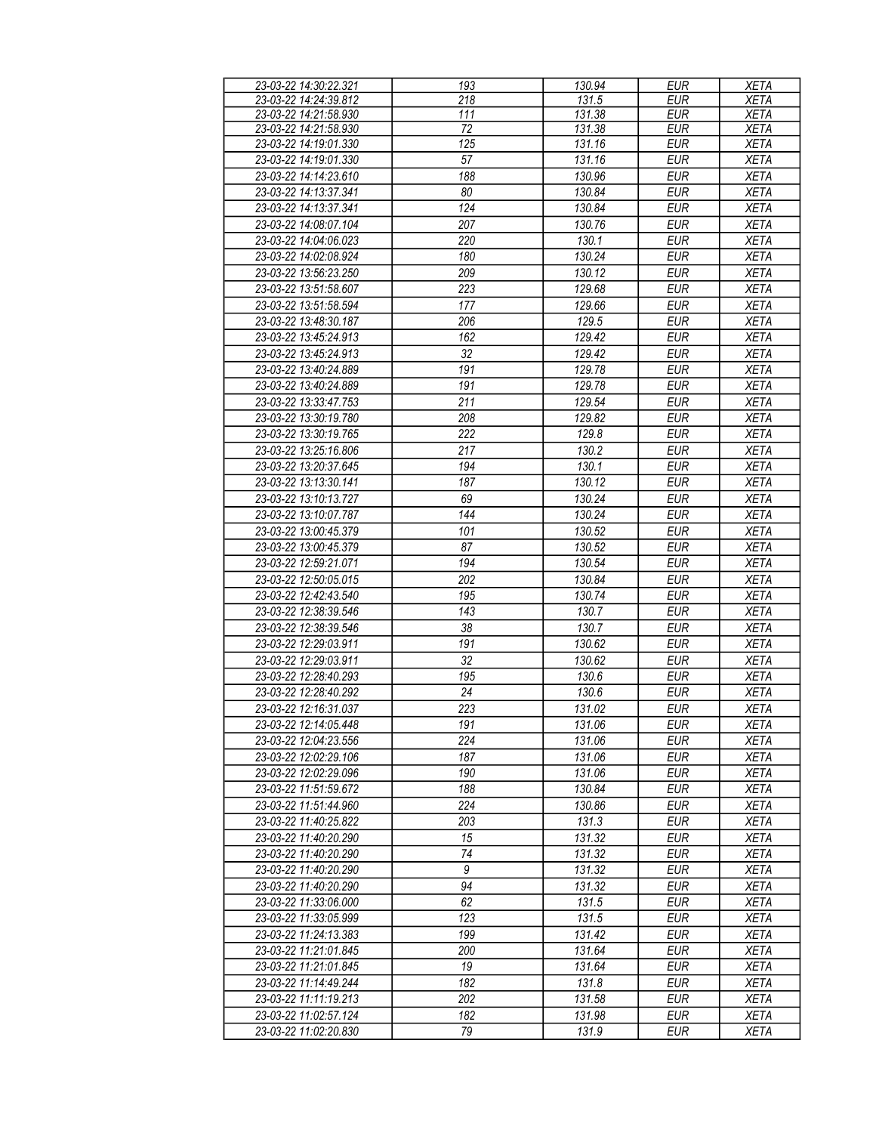| 23-03-22 14:30:22.321 | 193 | 130.94 | <b>EUR</b> | <b>XETA</b> |
|-----------------------|-----|--------|------------|-------------|
| 23-03-22 14:24:39.812 | 218 | 131.5  | <b>EUR</b> | <b>XETA</b> |
| 23-03-22 14:21:58.930 | 111 | 131.38 | <b>EUR</b> | <b>XETA</b> |
|                       |     |        |            |             |
| 23-03-22 14:21:58.930 | 72  | 131.38 | <b>EUR</b> | <b>XETA</b> |
| 23-03-22 14:19:01.330 | 125 | 131.16 | <b>EUR</b> | <b>XETA</b> |
| 23-03-22 14:19:01.330 | 57  | 131.16 | <b>EUR</b> | <b>XETA</b> |
| 23-03-22 14:14:23.610 | 188 | 130.96 | <b>EUR</b> | <b>XETA</b> |
| 23-03-22 14:13:37.341 | 80  | 130.84 | <b>EUR</b> | <b>XETA</b> |
| 23-03-22 14:13:37.341 | 124 | 130.84 | <b>EUR</b> | <b>XETA</b> |
| 23-03-22 14:08:07.104 | 207 | 130.76 | <b>EUR</b> | <b>XETA</b> |
|                       |     |        |            |             |
| 23-03-22 14:04:06.023 | 220 | 130.1  | <b>EUR</b> | <b>XETA</b> |
| 23-03-22 14:02:08.924 | 180 | 130.24 | <b>EUR</b> | <b>XETA</b> |
| 23-03-22 13:56:23.250 | 209 | 130.12 | <b>EUR</b> | <b>XETA</b> |
| 23-03-22 13:51:58.607 | 223 | 129.68 | <b>EUR</b> | <b>XETA</b> |
| 23-03-22 13:51:58.594 | 177 | 129.66 | <b>EUR</b> | <b>XETA</b> |
| 23-03-22 13:48:30.187 | 206 | 129.5  | <b>EUR</b> | <b>XETA</b> |
| 23-03-22 13:45:24.913 | 162 | 129.42 | <b>EUR</b> | <b>XETA</b> |
|                       |     |        |            |             |
| 23-03-22 13:45:24.913 | 32  | 129.42 | <b>EUR</b> | <b>XETA</b> |
| 23-03-22 13:40:24.889 | 191 | 129.78 | <b>EUR</b> | <b>XETA</b> |
| 23-03-22 13:40:24.889 | 191 | 129.78 | <b>EUR</b> | <b>XETA</b> |
| 23-03-22 13:33:47.753 | 211 | 129.54 | <b>EUR</b> | <b>XETA</b> |
| 23-03-22 13:30:19.780 | 208 | 129.82 | <b>EUR</b> | <b>XETA</b> |
| 23-03-22 13:30:19.765 | 222 | 129.8  | <b>EUR</b> | <b>XETA</b> |
| 23-03-22 13:25:16.806 | 217 | 130.2  | <b>EUR</b> | <b>XETA</b> |
| 23-03-22 13:20:37.645 | 194 | 130.1  | <b>EUR</b> | <b>XETA</b> |
| 23-03-22 13:13:30.141 | 187 | 130.12 | <b>EUR</b> | <b>XETA</b> |
|                       |     |        |            |             |
| 23-03-22 13:10:13.727 | 69  | 130.24 | <b>EUR</b> | <b>XETA</b> |
| 23-03-22 13:10:07.787 | 144 | 130.24 | <b>EUR</b> | <b>XETA</b> |
| 23-03-22 13:00:45.379 | 101 | 130.52 | <b>EUR</b> | <b>XETA</b> |
| 23-03-22 13:00:45.379 | 87  | 130.52 | <b>EUR</b> | <b>XETA</b> |
| 23-03-22 12:59:21.071 | 194 | 130.54 | <b>EUR</b> | <b>XETA</b> |
| 23-03-22 12:50:05.015 | 202 | 130.84 | <b>EUR</b> | <b>XETA</b> |
| 23-03-22 12:42:43.540 | 195 | 130.74 | <b>EUR</b> | <b>XETA</b> |
| 23-03-22 12:38:39.546 | 143 | 130.7  | <b>EUR</b> | <b>XETA</b> |
| 23-03-22 12:38:39.546 | 38  | 130.7  | <b>EUR</b> | <b>XETA</b> |
| 23-03-22 12:29:03.911 | 191 | 130.62 | <b>EUR</b> | <b>XETA</b> |
| 23-03-22 12:29:03.911 | 32  | 130.62 | <b>EUR</b> | <b>XETA</b> |
| 23-03-22 12:28:40.293 | 195 | 130.6  | <b>EUR</b> | <b>XETA</b> |
| 23-03-22 12:28:40.292 | 24  | 130.6  | EUR        | <b>XETA</b> |
|                       |     |        |            |             |
| 23-03-22 12:16:31.037 | 223 | 131.02 | <b>EUR</b> | <b>XETA</b> |
| 23-03-22 12:14:05.448 | 191 | 131.06 | EUR        | <b>XETA</b> |
| 23-03-22 12:04:23.556 | 224 | 131.06 | <b>EUR</b> | <b>XETA</b> |
| 23-03-22 12:02:29.106 | 187 | 131.06 | <b>EUR</b> | XETA        |
| 23-03-22 12:02:29.096 | 190 | 131.06 | <b>EUR</b> | <b>XETA</b> |
| 23-03-22 11:51:59.672 | 188 | 130.84 | <b>EUR</b> | <b>XETA</b> |
| 23-03-22 11:51:44.960 | 224 | 130.86 | <b>EUR</b> | <b>XETA</b> |
| 23-03-22 11:40:25.822 | 203 | 131.3  | <b>EUR</b> | <b>XETA</b> |
| 23-03-22 11:40:20.290 | 15  | 131.32 | <b>EUR</b> | <b>XETA</b> |
| 23-03-22 11:40:20.290 | 74  | 131.32 | <b>EUR</b> | <b>XETA</b> |
| 23-03-22 11:40:20.290 | 9   | 131.32 | <b>EUR</b> | <b>XETA</b> |
| 23-03-22 11:40:20.290 | 94  | 131.32 | <b>EUR</b> | <b>XETA</b> |
|                       |     |        |            |             |
| 23-03-22 11:33:06.000 | 62  | 131.5  | <b>EUR</b> | <b>XETA</b> |
| 23-03-22 11:33:05.999 | 123 | 131.5  | <b>EUR</b> | <b>XETA</b> |
| 23-03-22 11:24:13.383 | 199 | 131.42 | <b>EUR</b> | <b>XETA</b> |
| 23-03-22 11:21:01.845 | 200 | 131.64 | <b>EUR</b> | <b>XETA</b> |
| 23-03-22 11:21:01.845 | 19  | 131.64 | <b>EUR</b> | <b>XETA</b> |
| 23-03-22 11:14:49.244 | 182 | 131.8  | <b>EUR</b> | <b>XETA</b> |
| 23-03-22 11:11:19.213 | 202 | 131.58 | <b>EUR</b> | <b>XETA</b> |
| 23-03-22 11:02:57.124 | 182 | 131.98 | <b>EUR</b> | <b>XETA</b> |
| 23-03-22 11:02:20.830 | 79  | 131.9  | <b>EUR</b> | XETA        |
|                       |     |        |            |             |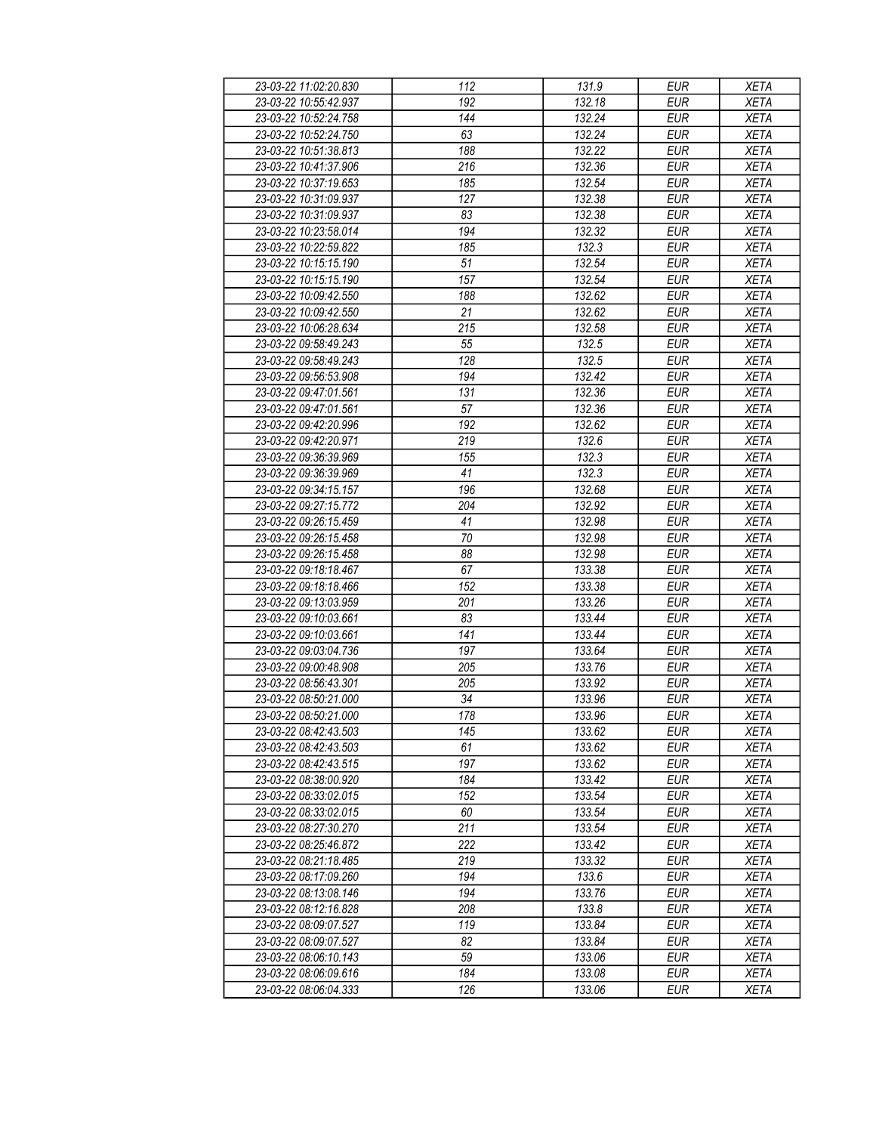| 23-03-22 11:02:20.830 | 112             | 131.9  | <b>EUR</b> | <b>XETA</b> |
|-----------------------|-----------------|--------|------------|-------------|
| 23-03-22 10:55:42.937 | 192             | 132.18 | <b>EUR</b> | <b>XETA</b> |
| 23-03-22 10:52:24.758 | 144             | 132.24 | <b>EUR</b> | <b>XETA</b> |
| 23-03-22 10:52:24.750 | 63              | 132.24 | <b>EUR</b> | <b>XETA</b> |
| 23-03-22 10:51:38.813 | 188             | 132.22 | <b>EUR</b> | <b>XETA</b> |
| 23-03-22 10:41:37.906 | 216             | 132.36 | <b>EUR</b> | <b>XETA</b> |
| 23-03-22 10:37:19.653 | 185             | 132.54 | <b>EUR</b> | <b>XETA</b> |
| 23-03-22 10:31:09.937 | 127             | 132.38 | <b>EUR</b> | <b>XETA</b> |
| 23-03-22 10:31:09.937 | 83              | 132.38 | <b>EUR</b> | <b>XETA</b> |
| 23-03-22 10:23:58.014 | 194             | 132.32 | <b>EUR</b> | <b>XETA</b> |
| 23-03-22 10:22:59.822 | 185             | 132.3  | <b>EUR</b> | <b>XETA</b> |
| 23-03-22 10:15:15.190 | 51              | 132.54 | <b>EUR</b> | <b>XETA</b> |
| 23-03-22 10:15:15.190 | 157             | 132.54 | <b>EUR</b> | <b>XETA</b> |
| 23-03-22 10:09:42.550 | 188             | 132.62 | <b>EUR</b> | <b>XETA</b> |
| 23-03-22 10:09:42.550 | 21              | 132.62 | <b>EUR</b> | <b>XETA</b> |
|                       | 215             |        | <b>EUR</b> |             |
| 23-03-22 10:06:28.634 |                 | 132.58 |            | <b>XETA</b> |
| 23-03-22 09:58:49.243 | 55              | 132.5  | <b>EUR</b> | <b>XETA</b> |
| 23-03-22 09:58:49.243 | 128             | 132.5  | <b>EUR</b> | <b>XETA</b> |
| 23-03-22 09:56:53.908 | 194             | 132.42 | <b>EUR</b> | <b>XETA</b> |
| 23-03-22 09:47:01.561 | 131             | 132.36 | <b>EUR</b> | <b>XETA</b> |
| 23-03-22 09:47:01.561 | 57              | 132.36 | <b>EUR</b> | <b>XETA</b> |
| 23-03-22 09:42:20.996 | 192             | 132.62 | <b>EUR</b> | <b>XETA</b> |
| 23-03-22 09:42:20.971 | 219             | 132.6  | <b>EUR</b> | <b>XETA</b> |
| 23-03-22 09:36:39.969 | 155             | 132.3  | <b>EUR</b> | <b>XETA</b> |
| 23-03-22 09:36:39.969 | 41              | 132.3  | <b>EUR</b> | XETA        |
| 23-03-22 09:34:15.157 | 196             | 132.68 | <b>EUR</b> | <b>XETA</b> |
| 23-03-22 09:27:15.772 | 204             | 132.92 | <b>EUR</b> | <b>XETA</b> |
| 23-03-22 09:26:15.459 | 41              | 132.98 | <b>EUR</b> | <b>XETA</b> |
| 23-03-22 09:26:15.458 | 70              | 132.98 | <b>EUR</b> | <b>XETA</b> |
| 23-03-22 09:26:15.458 | 88              | 132.98 | <b>EUR</b> | <b>XETA</b> |
| 23-03-22 09:18:18.467 | 67              | 133.38 | <b>EUR</b> | <b>XETA</b> |
| 23-03-22 09:18:18.466 | 152             | 133.38 | <b>EUR</b> | <b>XETA</b> |
| 23-03-22 09:13:03.959 | 201             | 133.26 | <b>EUR</b> | <b>XETA</b> |
| 23-03-22 09:10:03.661 | 83              | 133.44 | <b>EUR</b> | <b>XETA</b> |
| 23-03-22 09:10:03.661 | 141             | 133.44 | <b>EUR</b> | <b>XETA</b> |
| 23-03-22 09:03:04.736 | 197             | 133.64 | <b>EUR</b> | <b>XETA</b> |
| 23-03-22 09:00:48.908 | 205             | 133.76 | <b>EUR</b> | <b>XETA</b> |
| 23-03-22 08:56:43.301 | 205             | 133.92 | <b>EUR</b> | <b>XETA</b> |
| 23-03-22 08:50:21.000 | $\overline{34}$ | 133.96 | <b>EUR</b> | <b>XETA</b> |
| 23-03-22 08:50:21.000 | 178             | 133.96 | <b>EUR</b> | <b>XETA</b> |
| 23-03-22 08:42:43.503 | 145             | 133.62 | <b>EUR</b> | <b>XETA</b> |
| 23-03-22 08:42:43.503 | 61              | 133.62 | EUR        | <b>XETA</b> |
| 23-03-22 08:42:43.515 | 197             | 133.62 | <b>EUR</b> | <b>XETA</b> |
|                       | 184             |        | <b>EUR</b> |             |
| 23-03-22 08:38:00.920 |                 | 133.42 |            | <b>XETA</b> |
| 23-03-22 08:33:02.015 | 152             | 133.54 | <b>EUR</b> | XETA        |
| 23-03-22 08:33:02.015 | 60              | 133.54 | <b>EUR</b> | XETA        |
| 23-03-22 08:27:30.270 | 211             | 133.54 | <b>EUR</b> | <b>XETA</b> |
| 23-03-22 08:25:46.872 | 222             | 133.42 | <b>EUR</b> | <b>XETA</b> |
| 23-03-22 08:21:18.485 | 219             | 133.32 | <b>EUR</b> | <b>XETA</b> |
| 23-03-22 08:17:09.260 | 194             | 133.6  | EUR        | XETA        |
| 23-03-22 08:13:08.146 | 194             | 133.76 | <b>EUR</b> | XETA        |
| 23-03-22 08:12:16.828 | 208             | 133.8  | <b>EUR</b> | <b>XETA</b> |
| 23-03-22 08:09:07.527 | 119             | 133.84 | <b>EUR</b> | XETA        |
| 23-03-22 08:09:07.527 | 82              | 133.84 | <b>EUR</b> | XETA        |
| 23-03-22 08:06:10.143 | 59              | 133.06 | <b>EUR</b> | <b>XETA</b> |
| 23-03-22 08:06:09.616 | 184             | 133.08 | <b>EUR</b> | <b>XETA</b> |
| 23-03-22 08:06:04.333 | 126             | 133.06 | <b>EUR</b> | XETA        |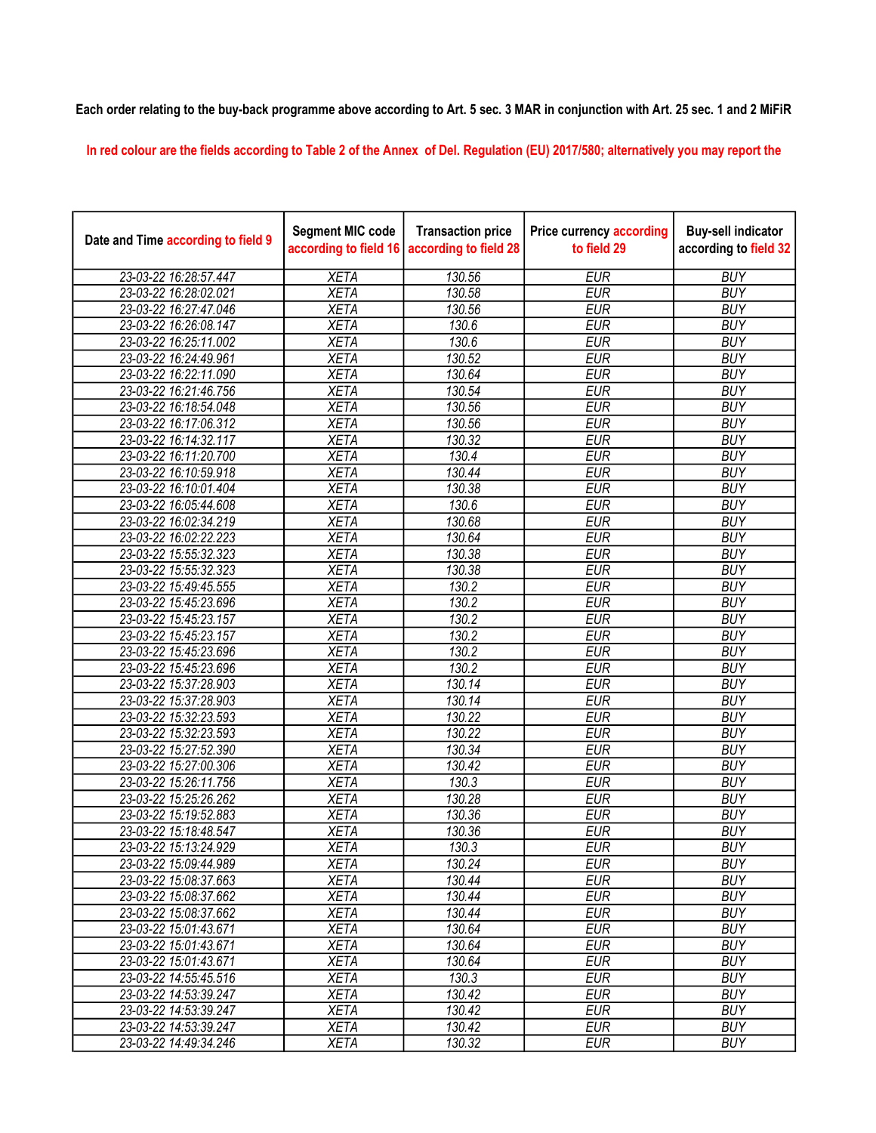## Each order relating to the buy-back programme above according to Art. 5 sec. 3 MAR in conjunction with Art. 25 sec. 1 and 2 MiFiR

In red colour are the fields according to Table 2 of the Annex of Del. Regulation (EU) 2017/580; alternatively you may report the

| Date and Time according to field 9 | <b>Segment MIC code</b><br>according to field 16 | <b>Transaction price</b><br>according to field 28 | <b>Price currency according</b><br>to field 29 | <b>Buy-sell indicator</b><br>according to field 32 |
|------------------------------------|--------------------------------------------------|---------------------------------------------------|------------------------------------------------|----------------------------------------------------|
| 23-03-22 16:28:57.447              | <b>XETA</b>                                      | 130.56                                            | <b>EUR</b>                                     | <b>BUY</b>                                         |
| 23-03-22 16:28:02.021              | <b>XETA</b>                                      | 130.58                                            | <b>EUR</b>                                     | <b>BUY</b>                                         |
| 23-03-22 16:27:47.046              | <b>XETA</b>                                      | 130.56                                            | <b>EUR</b>                                     | <b>BUY</b>                                         |
| 23-03-22 16:26:08.147              | <b>XETA</b>                                      | 130.6                                             | <b>EUR</b>                                     | <b>BUY</b>                                         |
| 23-03-22 16:25:11.002              | <b>XETA</b>                                      | 130.6                                             | <b>EUR</b>                                     | <b>BUY</b>                                         |
| 23-03-22 16:24:49.961              | <b>XETA</b>                                      | 130.52                                            | <b>EUR</b>                                     | <b>BUY</b>                                         |
| 23-03-22 16:22:11.090              | <b>XETA</b>                                      | 130.64                                            | <b>EUR</b>                                     | <b>BUY</b>                                         |
| 23-03-22 16:21:46.756              | <b>XETA</b>                                      | 130.54                                            | <b>EUR</b>                                     | <b>BUY</b>                                         |
| 23-03-22 16:18:54.048              | <b>XETA</b>                                      | 130.56                                            | <b>EUR</b>                                     | <b>BUY</b>                                         |
| 23-03-22 16:17:06.312              | <b>XETA</b>                                      | 130.56                                            | <b>EUR</b>                                     | <b>BUY</b>                                         |
| 23-03-22 16:14:32.117              | <b>XETA</b>                                      | 130.32                                            | <b>EUR</b>                                     | <b>BUY</b>                                         |
| 23-03-22 16:11:20.700              | <b>XETA</b>                                      | 130.4                                             | <b>EUR</b>                                     | <b>BUY</b>                                         |
| 23-03-22 16:10:59.918              | <b>XETA</b>                                      | 130.44                                            | <b>EUR</b>                                     | <b>BUY</b>                                         |
| 23-03-22 16:10:01.404              | <b>XETA</b>                                      | 130.38                                            | <b>EUR</b>                                     | <b>BUY</b>                                         |
| 23-03-22 16:05:44.608              | <b>XETA</b>                                      | 130.6                                             | <b>EUR</b>                                     | <b>BUY</b>                                         |
| 23-03-22 16:02:34.219              | <b>XETA</b>                                      | 130.68                                            | <b>EUR</b>                                     | <b>BUY</b>                                         |
| 23-03-22 16:02:22.223              | <b>XETA</b>                                      | 130.64                                            | <b>EUR</b>                                     | <b>BUY</b>                                         |
| 23-03-22 15:55:32.323              | <b>XETA</b>                                      | 130.38                                            | <b>EUR</b>                                     | <b>BUY</b>                                         |
| 23-03-22 15:55:32.323              | <b>XETA</b>                                      | 130.38                                            | <b>EUR</b>                                     | <b>BUY</b>                                         |
| 23-03-22 15:49:45.555              | <b>XETA</b>                                      | 130.2                                             | <b>EUR</b>                                     | <b>BUY</b>                                         |
| 23-03-22 15:45:23.696              | <b>XETA</b>                                      | 130.2                                             | <b>EUR</b>                                     | <b>BUY</b>                                         |
| 23-03-22 15:45:23.157              | <b>XETA</b>                                      | 130.2                                             | <b>EUR</b>                                     | <b>BUY</b>                                         |
| 23-03-22 15:45:23.157              | <b>XETA</b>                                      | 130.2                                             | <b>EUR</b>                                     | <b>BUY</b>                                         |
| 23-03-22 15:45:23.696              | <b>XETA</b>                                      | 130.2                                             | <b>EUR</b>                                     | <b>BUY</b>                                         |
| 23-03-22 15:45:23.696              | <b>XETA</b>                                      | 130.2                                             | <b>EUR</b>                                     | <b>BUY</b>                                         |
| 23-03-22 15:37:28.903              | <b>XETA</b>                                      | 130.14                                            | <b>EUR</b>                                     | <b>BUY</b>                                         |
| 23-03-22 15:37:28.903              | <b>XETA</b>                                      | 130.14                                            | <b>EUR</b>                                     | <b>BUY</b>                                         |
| 23-03-22 15:32:23.593              | <b>XETA</b>                                      | 130.22                                            | <b>EUR</b>                                     | <b>BUY</b>                                         |
| 23-03-22 15:32:23.593              | <b>XETA</b>                                      | 130.22                                            | <b>EUR</b>                                     | <b>BUY</b>                                         |
| 23-03-22 15:27:52.390              | <b>XETA</b>                                      | 130.34                                            | <b>EUR</b>                                     | <b>BUY</b>                                         |
| 23-03-22 15:27:00.306              | <b>XETA</b>                                      | 130.42                                            | <b>EUR</b>                                     | <b>BUY</b>                                         |
| 23-03-22 15:26:11.756              | <b>XETA</b>                                      | 130.3                                             | <b>EUR</b>                                     | <b>BUY</b>                                         |
| 23-03-22 15:25:26.262              | <b>XETA</b>                                      | 130.28                                            | <b>EUR</b>                                     | <b>BUY</b>                                         |
| 23-03-22 15:19:52.883              | <b>XETA</b>                                      | 130.36                                            | <b>EUR</b>                                     | <b>BUY</b>                                         |
| 23-03-22 15:18:48.547              | <b>XETA</b>                                      | 130.36                                            | <b>EUR</b>                                     | <b>BUY</b>                                         |
| 23-03-22 15:13:24.929              | <b>XETA</b>                                      | 130.3                                             | <b>EUR</b>                                     | <b>BUY</b>                                         |
| 23-03-22 15:09:44.989              | <b>XETA</b>                                      | 130.24                                            | <b>EUR</b>                                     | <b>BUY</b>                                         |
| 23-03-22 15:08:37.663              | <b>XETA</b>                                      | 130.44                                            | <b>EUR</b>                                     | <b>BUY</b>                                         |
| 23-03-22 15:08:37.662              | <b>XETA</b>                                      | 130.44                                            | <b>EUR</b>                                     | <b>BUY</b>                                         |
| 23-03-22 15:08:37.662              | <b>XETA</b>                                      | 130.44                                            | <b>EUR</b>                                     | <b>BUY</b>                                         |
| 23-03-22 15:01:43.671              | <b>XETA</b>                                      | 130.64                                            | <b>EUR</b>                                     | <b>BUY</b>                                         |
| 23-03-22 15:01:43.671              | <b>XETA</b>                                      | 130.64                                            | <b>EUR</b>                                     | <b>BUY</b>                                         |
| 23-03-22 15:01:43.671              | <b>XETA</b>                                      | 130.64                                            | <b>EUR</b>                                     | <b>BUY</b>                                         |
| 23-03-22 14:55:45.516              | <b>XETA</b>                                      | 130.3                                             | <b>EUR</b>                                     | <b>BUY</b>                                         |
| 23-03-22 14:53:39.247              | <b>XETA</b>                                      | 130.42                                            | <b>EUR</b>                                     | <b>BUY</b>                                         |
| 23-03-22 14:53:39.247              | <b>XETA</b>                                      | 130.42                                            | <b>EUR</b>                                     | <b>BUY</b>                                         |
| 23-03-22 14:53:39.247              | <b>XETA</b>                                      | 130.42                                            | <b>EUR</b>                                     | <b>BUY</b>                                         |
| 23-03-22 14:49:34.246              | <b>XETA</b>                                      | 130.32                                            | <b>EUR</b>                                     | <b>BUY</b>                                         |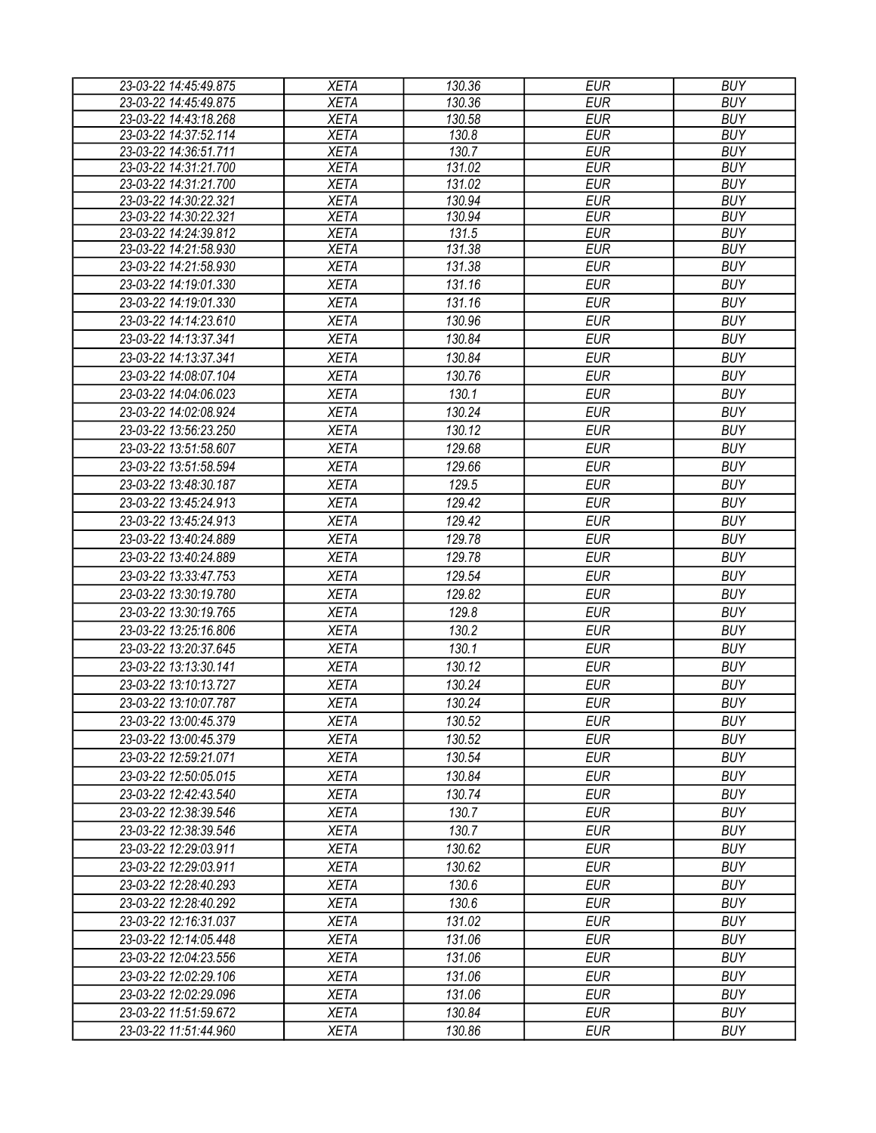| 23-03-22 14:45:49.875 | <b>XETA</b> | 130.36 | <b>EUR</b> | <b>BUY</b> |
|-----------------------|-------------|--------|------------|------------|
| 23-03-22 14:45:49.875 | <b>XETA</b> | 130.36 | <b>EUR</b> | <b>BUY</b> |
| 23-03-22 14:43:18.268 | <b>XETA</b> | 130.58 | <b>EUR</b> | <b>BUY</b> |
| 23-03-22 14:37:52.114 | <b>XETA</b> | 130.8  | <b>EUR</b> | <b>BUY</b> |
| 23-03-22 14:36:51.711 | <b>XETA</b> | 130.7  | <b>EUR</b> | <b>BUY</b> |
| 23-03-22 14:31:21.700 | <b>XETA</b> | 131.02 | <b>EUR</b> | <b>BUY</b> |
| 23-03-22 14:31:21.700 | <b>XETA</b> | 131.02 | <b>EUR</b> | <b>BUY</b> |
| 23-03-22 14:30:22.321 | <b>XETA</b> | 130.94 | <b>EUR</b> | <b>BUY</b> |
| 23-03-22 14:30:22.321 | <b>XETA</b> | 130.94 | <b>EUR</b> | <b>BUY</b> |
| 23-03-22 14:24:39.812 | <b>XETA</b> | 131.5  | <b>EUR</b> | <b>BUY</b> |
| 23-03-22 14:21:58.930 | <b>XETA</b> | 131.38 | <b>EUR</b> | <b>BUY</b> |
| 23-03-22 14:21:58.930 | <b>XETA</b> | 131.38 | <b>EUR</b> | <b>BUY</b> |
| 23-03-22 14:19:01.330 | <b>XETA</b> | 131.16 | <b>EUR</b> | <b>BUY</b> |
| 23-03-22 14:19:01.330 | <b>XETA</b> | 131.16 | <b>EUR</b> | <b>BUY</b> |
| 23-03-22 14:14:23.610 | <b>XETA</b> | 130.96 | <b>EUR</b> | <b>BUY</b> |
| 23-03-22 14:13:37.341 | <b>XETA</b> | 130.84 | <b>EUR</b> | <b>BUY</b> |
| 23-03-22 14:13:37.341 | <b>XETA</b> | 130.84 | <b>EUR</b> | <b>BUY</b> |
| 23-03-22 14:08:07.104 | <b>XETA</b> | 130.76 | <b>EUR</b> | <b>BUY</b> |
| 23-03-22 14:04:06.023 | <b>XETA</b> | 130.1  | <b>EUR</b> | <b>BUY</b> |
| 23-03-22 14:02:08.924 | <b>XETA</b> | 130.24 | <b>EUR</b> | <b>BUY</b> |
| 23-03-22 13:56:23.250 | <b>XETA</b> | 130.12 | <b>EUR</b> | <b>BUY</b> |
| 23-03-22 13:51:58.607 | <b>XETA</b> | 129.68 | <b>EUR</b> | <b>BUY</b> |
| 23-03-22 13:51:58.594 | <b>XETA</b> | 129.66 | <b>EUR</b> | <b>BUY</b> |
| 23-03-22 13:48:30.187 | <b>XETA</b> | 129.5  | <b>EUR</b> | <b>BUY</b> |
| 23-03-22 13:45:24.913 | <b>XETA</b> | 129.42 | <b>EUR</b> | <b>BUY</b> |
| 23-03-22 13:45:24.913 | <b>XETA</b> | 129.42 | <b>EUR</b> | <b>BUY</b> |
| 23-03-22 13:40:24.889 | <b>XETA</b> | 129.78 | <b>EUR</b> | <b>BUY</b> |
| 23-03-22 13:40:24.889 | <b>XETA</b> | 129.78 | <b>EUR</b> | <b>BUY</b> |
| 23-03-22 13:33:47.753 | <b>XETA</b> | 129.54 | <b>EUR</b> | <b>BUY</b> |
| 23-03-22 13:30:19.780 |             | 129.82 | <b>EUR</b> | <b>BUY</b> |
|                       | <b>XETA</b> |        |            |            |
| 23-03-22 13:30:19.765 | <b>XETA</b> | 129.8  | <b>EUR</b> | <b>BUY</b> |
| 23-03-22 13:25:16.806 | <b>XETA</b> | 130.2  | <b>EUR</b> | <b>BUY</b> |
| 23-03-22 13:20:37.645 | <b>XETA</b> | 130.1  | <b>EUR</b> | <b>BUY</b> |
| 23-03-22 13:13:30.141 | <b>XETA</b> | 130.12 | <b>EUR</b> | <b>BUY</b> |
| 23-03-22 13:10:13.727 | <b>XETA</b> | 130.24 | <b>EUR</b> | <b>BUY</b> |
| 23-03-22 13:10:07.787 | <b>XETA</b> | 130.24 | <b>EUR</b> | <b>BUY</b> |
| 23-03-22 13:00:45.379 | <b>XETA</b> | 130.52 | <b>EUR</b> | <b>BUY</b> |
| 23-03-22 13:00:45.379 | <b>XETA</b> | 130.52 | <b>EUR</b> | <b>BUY</b> |
| 23-03-22 12:59:21.071 | <b>XETA</b> | 130.54 | <b>EUR</b> | <b>BUY</b> |
| 23-03-22 12:50:05.015 | <b>XETA</b> | 130.84 | <b>EUR</b> | <b>BUY</b> |
| 23-03-22 12:42:43.540 | <b>XETA</b> | 130.74 | <b>EUR</b> | <b>BUY</b> |
| 23-03-22 12:38:39.546 | <b>XETA</b> | 130.7  | <b>EUR</b> | <b>BUY</b> |
| 23-03-22 12:38:39.546 | <b>XETA</b> | 130.7  | <b>EUR</b> | <b>BUY</b> |
| 23-03-22 12:29:03.911 | <b>XETA</b> | 130.62 | <b>EUR</b> | <b>BUY</b> |
| 23-03-22 12:29:03.911 | <b>XETA</b> | 130.62 | <b>EUR</b> | <b>BUY</b> |
| 23-03-22 12:28:40.293 | <b>XETA</b> | 130.6  | <b>EUR</b> | <b>BUY</b> |
| 23-03-22 12:28:40.292 | <b>XETA</b> | 130.6  | EUR        | <b>BUY</b> |
| 23-03-22 12:16:31.037 | <b>XETA</b> | 131.02 | <b>EUR</b> | <b>BUY</b> |
| 23-03-22 12:14:05.448 | <b>XETA</b> | 131.06 | <b>EUR</b> | <b>BUY</b> |
| 23-03-22 12:04:23.556 | <b>XETA</b> | 131.06 | <b>EUR</b> | <b>BUY</b> |
| 23-03-22 12:02:29.106 | <b>XETA</b> | 131.06 | <b>EUR</b> | <b>BUY</b> |
| 23-03-22 12:02:29.096 | <b>XETA</b> | 131.06 | <b>EUR</b> | <b>BUY</b> |
| 23-03-22 11:51:59.672 | <b>XETA</b> | 130.84 | <b>EUR</b> | <b>BUY</b> |
| 23-03-22 11:51:44.960 | <b>XETA</b> | 130.86 | <b>EUR</b> | <b>BUY</b> |
|                       |             |        |            |            |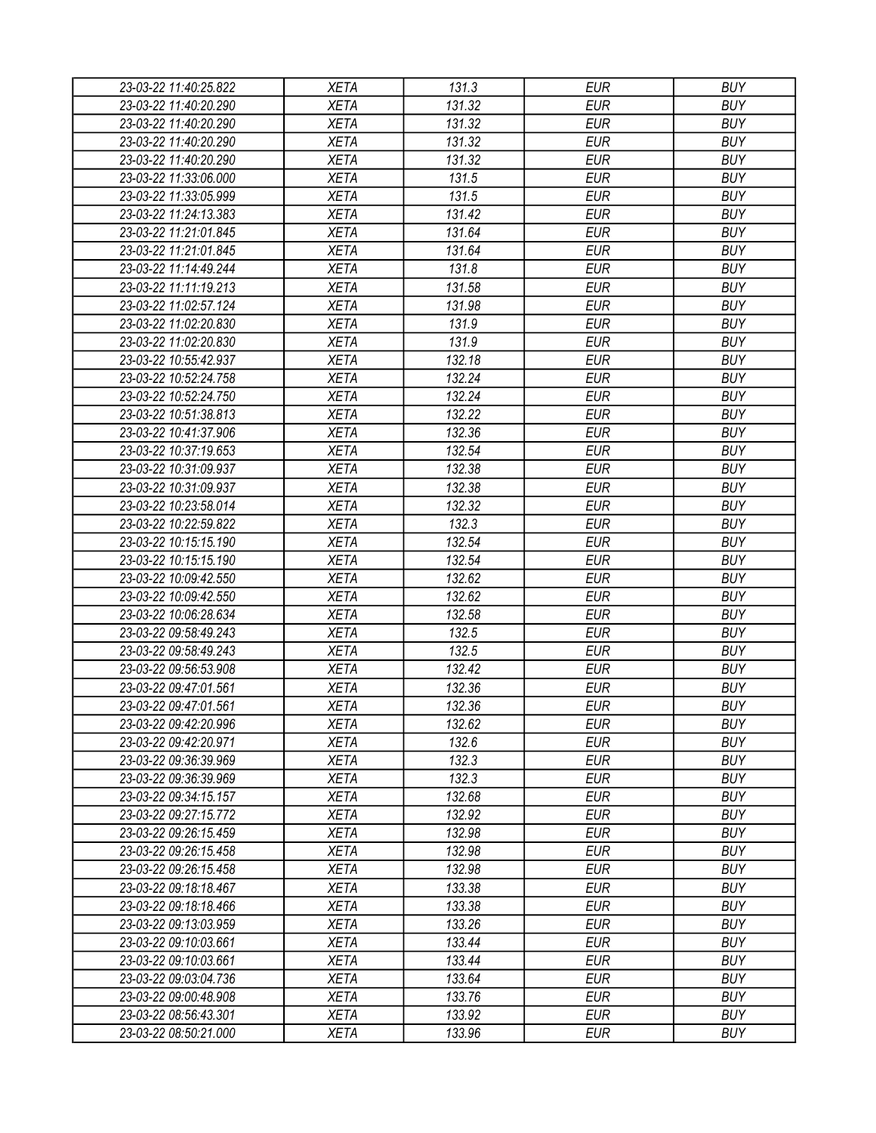| 23-03-22 11:40:25.822 | <b>XETA</b> | 131.3  | <b>EUR</b> | <b>BUY</b> |
|-----------------------|-------------|--------|------------|------------|
| 23-03-22 11:40:20.290 | <b>XETA</b> | 131.32 | <b>EUR</b> | <b>BUY</b> |
| 23-03-22 11:40:20.290 | <b>XETA</b> | 131.32 | <b>EUR</b> | <b>BUY</b> |
| 23-03-22 11:40:20.290 | <b>XETA</b> | 131.32 | <b>EUR</b> | <b>BUY</b> |
| 23-03-22 11:40:20.290 | <b>XETA</b> | 131.32 | <b>EUR</b> | <b>BUY</b> |
| 23-03-22 11:33:06.000 | <b>XETA</b> | 131.5  | <b>EUR</b> | <b>BUY</b> |
| 23-03-22 11:33:05.999 | <b>XETA</b> | 131.5  | <b>EUR</b> | <b>BUY</b> |
| 23-03-22 11:24:13.383 | <b>XETA</b> | 131.42 | <b>EUR</b> | <b>BUY</b> |
| 23-03-22 11:21:01.845 | <b>XETA</b> | 131.64 | <b>EUR</b> | <b>BUY</b> |
| 23-03-22 11:21:01.845 | <b>XETA</b> | 131.64 | <b>EUR</b> | <b>BUY</b> |
| 23-03-22 11:14:49.244 | <b>XETA</b> | 131.8  | <b>EUR</b> | <b>BUY</b> |
| 23-03-22 11:11:19.213 | <b>XETA</b> | 131.58 | <b>EUR</b> | <b>BUY</b> |
| 23-03-22 11:02:57.124 | <b>XETA</b> | 131.98 | <b>EUR</b> | <b>BUY</b> |
| 23-03-22 11:02:20.830 | <b>XETA</b> | 131.9  | <b>EUR</b> | <b>BUY</b> |
| 23-03-22 11:02:20.830 | <b>XETA</b> | 131.9  | <b>EUR</b> | <b>BUY</b> |
| 23-03-22 10:55:42.937 | <b>XETA</b> | 132.18 | <b>EUR</b> | <b>BUY</b> |
| 23-03-22 10:52:24.758 | <b>XETA</b> | 132.24 | <b>EUR</b> | <b>BUY</b> |
| 23-03-22 10:52:24.750 | <b>XETA</b> | 132.24 | <b>EUR</b> | <b>BUY</b> |
| 23-03-22 10:51:38.813 | <b>XETA</b> | 132.22 | <b>EUR</b> | <b>BUY</b> |
| 23-03-22 10:41:37.906 | <b>XETA</b> | 132.36 | <b>EUR</b> | <b>BUY</b> |
| 23-03-22 10:37:19.653 | <b>XETA</b> | 132.54 | <b>EUR</b> | <b>BUY</b> |
| 23-03-22 10:31:09.937 | <b>XETA</b> | 132.38 | <b>EUR</b> | <b>BUY</b> |
| 23-03-22 10:31:09.937 | <b>XETA</b> | 132.38 | <b>EUR</b> | <b>BUY</b> |
| 23-03-22 10:23:58.014 | <b>XETA</b> | 132.32 | <b>EUR</b> | <b>BUY</b> |
| 23-03-22 10:22:59.822 | <b>XETA</b> | 132.3  | <b>EUR</b> | <b>BUY</b> |
| 23-03-22 10:15:15.190 | <b>XETA</b> | 132.54 | <b>EUR</b> | <b>BUY</b> |
| 23-03-22 10:15:15.190 | <b>XETA</b> | 132.54 | <b>EUR</b> | <b>BUY</b> |
| 23-03-22 10:09:42.550 | <b>XETA</b> | 132.62 | <b>EUR</b> | <b>BUY</b> |
| 23-03-22 10:09:42.550 | <b>XETA</b> | 132.62 | <b>EUR</b> | <b>BUY</b> |
| 23-03-22 10:06:28.634 | <b>XETA</b> | 132.58 | <b>EUR</b> | <b>BUY</b> |
| 23-03-22 09:58:49.243 | <b>XETA</b> | 132.5  | <b>EUR</b> | <b>BUY</b> |
| 23-03-22 09:58:49.243 | <b>XETA</b> | 132.5  | <b>EUR</b> | <b>BUY</b> |
| 23-03-22 09:56:53.908 | <b>XETA</b> | 132.42 | <b>EUR</b> | <b>BUY</b> |
| 23-03-22 09:47:01.561 | <b>XETA</b> | 132.36 | <b>EUR</b> | <b>BUY</b> |
| 23-03-22 09:47:01.561 | <b>XETA</b> | 132.36 | <b>EUR</b> | <b>BUY</b> |
| 23-03-22 09:42:20.996 | <b>XETA</b> | 132.62 | <b>EUR</b> | <b>BUY</b> |
| 23-03-22 09:42:20.971 | <b>XETA</b> | 132.6  | <b>EUR</b> | <b>BUY</b> |
| 23-03-22 09:36:39.969 | <b>XETA</b> | 132.3  | <b>EUR</b> | <b>BUY</b> |
| 23-03-22 09:36:39.969 | <b>XETA</b> | 132.3  | <b>EUR</b> | <b>BUY</b> |
| 23-03-22 09:34:15.157 | <b>XETA</b> | 132.68 | <b>EUR</b> | <b>BUY</b> |
| 23-03-22 09:27:15.772 | <b>XETA</b> | 132.92 | <b>EUR</b> | <b>BUY</b> |
| 23-03-22 09:26:15.459 | <b>XETA</b> | 132.98 | <b>EUR</b> | <b>BUY</b> |
| 23-03-22 09:26:15.458 | <b>XETA</b> | 132.98 | <b>EUR</b> | <b>BUY</b> |
|                       | <b>XETA</b> | 132.98 | <b>EUR</b> | <b>BUY</b> |
| 23-03-22 09:26:15.458 |             |        |            |            |
| 23-03-22 09:18:18.467 | <b>XETA</b> | 133.38 | <b>EUR</b> | <b>BUY</b> |
| 23-03-22 09:18:18.466 | <b>XETA</b> | 133.38 | <b>EUR</b> | <b>BUY</b> |
| 23-03-22 09:13:03.959 | <b>XETA</b> | 133.26 | <b>EUR</b> | <b>BUY</b> |
| 23-03-22 09:10:03.661 | <b>XETA</b> | 133.44 | <b>EUR</b> | <b>BUY</b> |
| 23-03-22 09:10:03.661 | <b>XETA</b> | 133.44 | <b>EUR</b> | <b>BUY</b> |
| 23-03-22 09:03:04.736 | <b>XETA</b> | 133.64 | <b>EUR</b> | <b>BUY</b> |
| 23-03-22 09:00:48.908 | <b>XETA</b> | 133.76 | EUR        | <b>BUY</b> |
| 23-03-22 08:56:43.301 | XETA        | 133.92 | <b>EUR</b> | <b>BUY</b> |
| 23-03-22 08:50:21.000 | <b>XETA</b> | 133.96 | <b>EUR</b> | <b>BUY</b> |